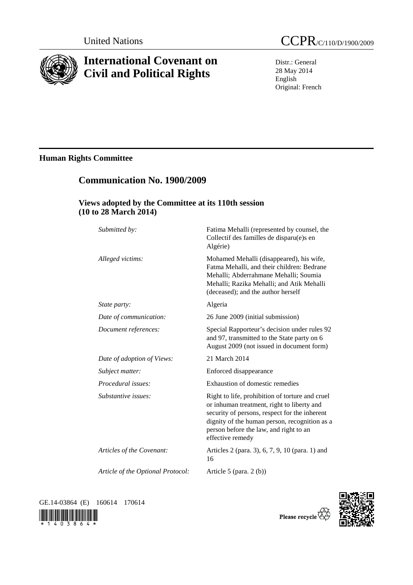

# **International Covenant on Civil and Political Rights**

Distr.: General 28 May 2014 English Original: French

# **Human Rights Committee**

# **Views adopted by the Committee at its 110th session (10 to 28 March 2014)**

 **Communication No. 1900/2009** 

| Submitted by:                     | Fatima Mehalli (represented by counsel, the<br>Collectif des familles de disparu(e)s en<br>Algérie)                                                                                                                                                           |
|-----------------------------------|---------------------------------------------------------------------------------------------------------------------------------------------------------------------------------------------------------------------------------------------------------------|
| Alleged victims:                  | Mohamed Mehalli (disappeared), his wife,<br>Fatma Mehalli, and their children: Bedrane<br>Mehalli; Abderrahmane Mehalli; Soumia<br>Mehalli; Razika Mehalli; and Atik Mehalli<br>(deceased); and the author herself                                            |
| State party:                      | Algeria                                                                                                                                                                                                                                                       |
| Date of communication:            | 26 June 2009 (initial submission)                                                                                                                                                                                                                             |
| Document references:              | Special Rapporteur's decision under rules 92<br>and 97, transmitted to the State party on 6<br>August 2009 (not issued in document form)                                                                                                                      |
| Date of adoption of Views:        | 21 March 2014                                                                                                                                                                                                                                                 |
| Subject matter:                   | Enforced disappearance                                                                                                                                                                                                                                        |
| Procedural issues:                | Exhaustion of domestic remedies                                                                                                                                                                                                                               |
| Substantive issues:               | Right to life, prohibition of torture and cruel<br>or inhuman treatment, right to liberty and<br>security of persons, respect for the inherent<br>dignity of the human person, recognition as a<br>person before the law, and right to an<br>effective remedy |
| Articles of the Covenant:         | Articles 2 (para. 3), 6, 7, 9, 10 (para. 1) and<br>16                                                                                                                                                                                                         |
| Article of the Optional Protocol: | Article 5 (para. $2(b)$ )                                                                                                                                                                                                                                     |

GE.14-03864 (E) 160614 170614





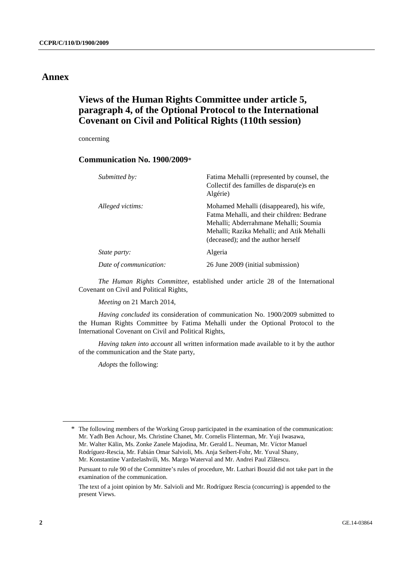### **Annex**

## **Views of the Human Rights Committee under article 5, paragraph 4, of the Optional Protocol to the International Covenant on Civil and Political Rights (110th session)**

concerning

### **Communication No. 1900/2009**\*

| Submitted by:          | Fatima Mehalli (represented by counsel, the<br>Collectif des familles de disparu(e)s en<br>Algérie)                                                                                                                |
|------------------------|--------------------------------------------------------------------------------------------------------------------------------------------------------------------------------------------------------------------|
| Alleged victims:       | Mohamed Mehalli (disappeared), his wife,<br>Fatma Mehalli, and their children: Bedrane<br>Mehalli; Abderrahmane Mehalli; Soumia<br>Mehalli; Razika Mehalli; and Atik Mehalli<br>(deceased); and the author herself |
| <i>State party:</i>    | Algeria                                                                                                                                                                                                            |
| Date of communication: | 26 June 2009 (initial submission)                                                                                                                                                                                  |

*The Human Rights Committee*, established under article 28 of the International Covenant on Civil and Political Rights,

*Meeting* on 21 March 2014,

*Having concluded* its consideration of communication No. 1900/2009 submitted to the Human Rights Committee by Fatima Mehalli under the Optional Protocol to the International Covenant on Civil and Political Rights,

*Having taken into account* all written information made available to it by the author of the communication and the State party,

*Adopts* the following:

\* The following members of the Working Group participated in the examination of the communication: Mr. Yadh Ben Achour, Ms. Christine Chanet, Mr. Cornelis Flinterman, Mr. Yuji Iwasawa, Mr. Walter Kälin, Ms. Zonke Zanele Majodina, Mr. Gerald L. Neuman, Mr. Víctor Manuel Rodríguez-Rescia, Mr. Fabián Omar Salvioli, Ms. Anja Seibert-Fohr, Mr. Yuval Shany, Mr. Konstantine Vardzelashvili, Ms. Margo Waterval and Mr. Andrei Paul Zlãtescu.

 Pursuant to rule 90 of the Committee's rules of procedure, Mr. Lazhari Bouzid did not take part in the examination of the communication.

 The text of a joint opinion by Mr. Salvioli and Mr. Rodríguez Rescia (concurring) is appended to the present Views.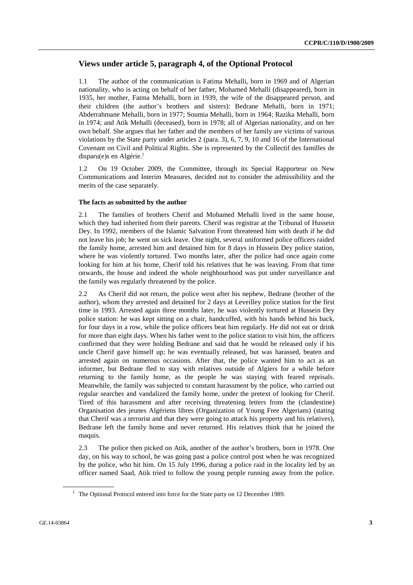## **Views under article 5, paragraph 4, of the Optional Protocol**

1.1 The author of the communication is Fatima Mehalli, born in 1969 and of Algerian nationality, who is acting on behalf of her father, Mohamed Mehalli (disappeared), born in 1935, her mother, Fatma Mehalli, born in 1939, the wife of the disappeared person, and their children (the author's brothers and sisters): Bedrane Mehalli, born in 1971; Abderrahmane Mehalli, born in 1977; Soumia Mehalli, born in 1964; Razika Mehalli, born in 1974; and Atik Mehalli (deceased), born in 1978; all of Algerian nationality, and on her own behalf. She argues that her father and the members of her family are victims of various violations by the State party under articles 2 (para. 3), 6, 7, 9, 10 and 16 of the International Covenant on Civil and Political Rights. She is represented by the Collectif des familles de disparu(e)s en Algérie.<sup>1</sup>

1.2 On 19 October 2009, the Committee, through its Special Rapporteur on New Communications and Interim Measures, decided not to consider the admissibility and the merits of the case separately.

#### **The facts as submitted by the author**

2.1 The families of brothers Cherif and Mohamed Mehalli lived in the same house, which they had inherited from their parents. Cherif was registrar at the Tribunal of Hussein Dey. In 1992, members of the Islamic Salvation Front threatened him with death if he did not leave his job; he went on sick leave. One night, several uniformed police officers raided the family home, arrested him and detained him for 8 days in Hussein Dey police station, where he was violently tortured. Two months later, after the police had once again come looking for him at his home, Cherif told his relatives that he was leaving. From that time onwards, the house and indeed the whole neighbourhood was put under surveillance and the family was regularly threatened by the police.

2.2 As Cherif did not return, the police went after his nephew, Bedrane (brother of the author), whom they arrested and detained for 2 days at Leveilley police station for the first time in 1993. Arrested again three months later, he was violently tortured at Hussein Dey police station: he was kept sitting on a chair, handcuffed, with his hands behind his back, for four days in a row, while the police officers beat him regularly. He did not eat or drink for more than eight days. When his father went to the police station to visit him, the officers confirmed that they were holding Bedrane and said that he would be released only if his uncle Cherif gave himself up; he was eventually released, but was harassed, beaten and arrested again on numerous occasions. After that, the police wanted him to act as an informer, but Bedrane fled to stay with relatives outside of Algiers for a while before returning to the family home, as the people he was staying with feared reprisals. Meanwhile, the family was subjected to constant harassment by the police, who carried out regular searches and vandalized the family home, under the pretext of looking for Cherif. Tired of this harassment and after receiving threatening letters from the (clandestine) Organisation des jeunes Algériens libres (Organization of Young Free Algerians) (stating that Cherif was a terrorist and that they were going to attack his property and his relatives), Bedrane left the family home and never returned. His relatives think that he joined the maquis.

2.3 The police then picked on Atik, another of the author's brothers, born in 1978. One day, on his way to school, he was going past a police control post when he was recognized by the police, who hit him. On 15 July 1996, during a police raid in the locality led by an officer named Saad, Atik tried to follow the young people running away from the police.

<sup>&</sup>lt;sup>1</sup> The Optional Protocol entered into force for the State party on 12 December 1989.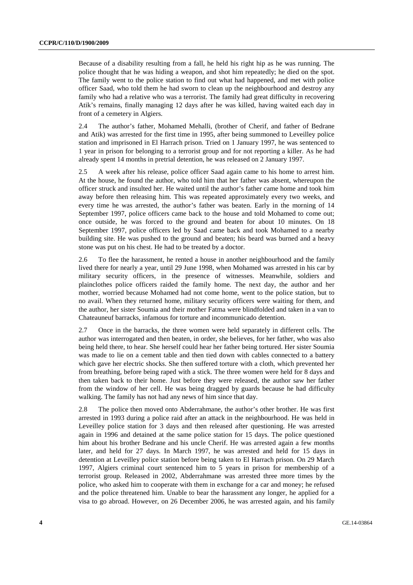Because of a disability resulting from a fall, he held his right hip as he was running. The police thought that he was hiding a weapon, and shot him repeatedly; he died on the spot. The family went to the police station to find out what had happened, and met with police officer Saad, who told them he had sworn to clean up the neighbourhood and destroy any family who had a relative who was a terrorist. The family had great difficulty in recovering Atik's remains, finally managing 12 days after he was killed, having waited each day in front of a cemetery in Algiers.

2.4 The author's father, Mohamed Mehalli, (brother of Cherif, and father of Bedrane and Atik) was arrested for the first time in 1995, after being summoned to Leveilley police station and imprisoned in El Harrach prison. Tried on 1 January 1997, he was sentenced to 1 year in prison for belonging to a terrorist group and for not reporting a killer. As he had already spent 14 months in pretrial detention, he was released on 2 January 1997.

2.5 A week after his release, police officer Saad again came to his home to arrest him. At the house, he found the author, who told him that her father was absent, whereupon the officer struck and insulted her. He waited until the author's father came home and took him away before then releasing him. This was repeated approximately every two weeks, and every time he was arrested, the author's father was beaten. Early in the morning of 14 September 1997, police officers came back to the house and told Mohamed to come out; once outside, he was forced to the ground and beaten for about 10 minutes. On 18 September 1997, police officers led by Saad came back and took Mohamed to a nearby building site. He was pushed to the ground and beaten; his beard was burned and a heavy stone was put on his chest. He had to be treated by a doctor.

2.6 To flee the harassment, he rented a house in another neighbourhood and the family lived there for nearly a year, until 29 June 1998, when Mohamed was arrested in his car by military security officers, in the presence of witnesses. Meanwhile, soldiers and plainclothes police officers raided the family home. The next day, the author and her mother, worried because Mohamed had not come home, went to the police station, but to no avail. When they returned home, military security officers were waiting for them, and the author, her sister Soumia and their mother Fatma were blindfolded and taken in a van to Chateauneuf barracks, infamous for torture and incommunicado detention.

2.7 Once in the barracks, the three women were held separately in different cells. The author was interrogated and then beaten, in order, she believes, for her father, who was also being held there, to hear. She herself could hear her father being tortured. Her sister Soumia was made to lie on a cement table and then tied down with cables connected to a battery which gave her electric shocks. She then suffered torture with a cloth, which prevented her from breathing, before being raped with a stick. The three women were held for 8 days and then taken back to their home. Just before they were released, the author saw her father from the window of her cell. He was being dragged by guards because he had difficulty walking. The family has not had any news of him since that day.

2.8 The police then moved onto Abderrahmane, the author's other brother. He was first arrested in 1993 during a police raid after an attack in the neighbourhood. He was held in Leveilley police station for 3 days and then released after questioning. He was arrested again in 1996 and detained at the same police station for 15 days. The police questioned him about his brother Bedrane and his uncle Cherif. He was arrested again a few months later, and held for 27 days. In March 1997, he was arrested and held for 15 days in detention at Leveilley police station before being taken to El Harrach prison. On 29 March 1997, Algiers criminal court sentenced him to 5 years in prison for membership of a terrorist group. Released in 2002, Abderrahmane was arrested three more times by the police, who asked him to cooperate with them in exchange for a car and money; he refused and the police threatened him. Unable to bear the harassment any longer, he applied for a visa to go abroad. However, on 26 December 2006, he was arrested again, and his family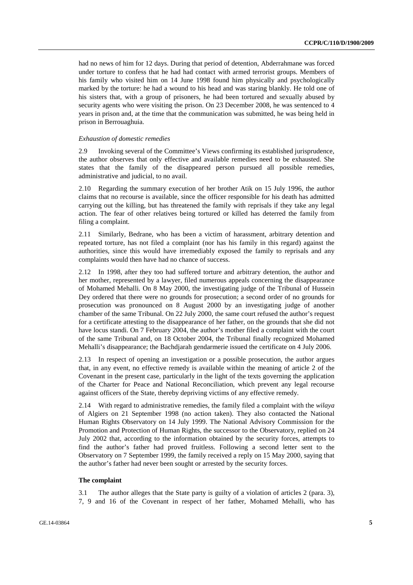had no news of him for 12 days. During that period of detention, Abderrahmane was forced under torture to confess that he had had contact with armed terrorist groups. Members of his family who visited him on 14 June 1998 found him physically and psychologically marked by the torture: he had a wound to his head and was staring blankly. He told one of his sisters that, with a group of prisoners, he had been tortured and sexually abused by security agents who were visiting the prison. On 23 December 2008, he was sentenced to 4 years in prison and, at the time that the communication was submitted, he was being held in prison in Berrouaghuia.

#### *Exhaustion of domestic remedies*

2.9 Invoking several of the Committee's Views confirming its established jurisprudence, the author observes that only effective and available remedies need to be exhausted. She states that the family of the disappeared person pursued all possible remedies, administrative and judicial, to no avail.

2.10 Regarding the summary execution of her brother Atik on 15 July 1996, the author claims that no recourse is available, since the officer responsible for his death has admitted carrying out the killing, but has threatened the family with reprisals if they take any legal action. The fear of other relatives being tortured or killed has deterred the family from filing a complaint.

2.11 Similarly, Bedrane, who has been a victim of harassment, arbitrary detention and repeated torture, has not filed a complaint (nor has his family in this regard) against the authorities, since this would have irremediably exposed the family to reprisals and any complaints would then have had no chance of success.

2.12 In 1998, after they too had suffered torture and arbitrary detention, the author and her mother, represented by a lawyer, filed numerous appeals concerning the disappearance of Mohamed Mehalli. On 8 May 2000, the investigating judge of the Tribunal of Hussein Dey ordered that there were no grounds for prosecution; a second order of no grounds for prosecution was pronounced on 8 August 2000 by an investigating judge of another chamber of the same Tribunal. On 22 July 2000, the same court refused the author's request for a certificate attesting to the disappearance of her father, on the grounds that she did not have locus standi. On 7 February 2004, the author's mother filed a complaint with the court of the same Tribunal and, on 18 October 2004, the Tribunal finally recognized Mohamed Mehalli's disappearance; the Bachdjarah gendarmerie issued the certificate on 4 July 2006.

2.13 In respect of opening an investigation or a possible prosecution, the author argues that, in any event, no effective remedy is available within the meaning of article 2 of the Covenant in the present case, particularly in the light of the texts governing the application of the Charter for Peace and National Reconciliation, which prevent any legal recourse against officers of the State, thereby depriving victims of any effective remedy.

2.14 With regard to administrative remedies, the family filed a complaint with the *wilaya* of Algiers on 21 September 1998 (no action taken). They also contacted the National Human Rights Observatory on 14 July 1999. The National Advisory Commission for the Promotion and Protection of Human Rights, the successor to the Observatory, replied on 24 July 2002 that, according to the information obtained by the security forces, attempts to find the author's father had proved fruitless. Following a second letter sent to the Observatory on 7 September 1999, the family received a reply on 15 May 2000, saying that the author's father had never been sought or arrested by the security forces.

#### **The complaint**

3.1 The author alleges that the State party is guilty of a violation of articles 2 (para. 3), 7, 9 and 16 of the Covenant in respect of her father, Mohamed Mehalli, who has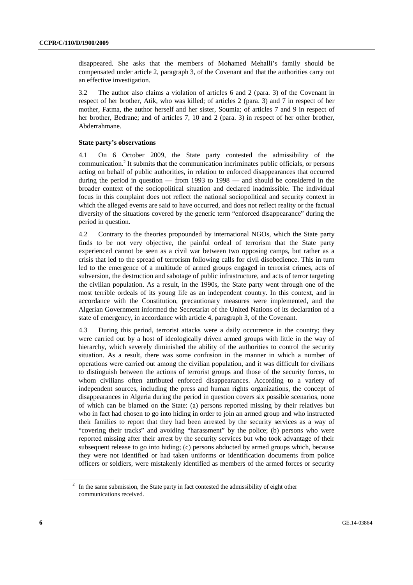disappeared. She asks that the members of Mohamed Mehalli's family should be compensated under article 2, paragraph 3, of the Covenant and that the authorities carry out an effective investigation.

3.2 The author also claims a violation of articles 6 and 2 (para. 3) of the Covenant in respect of her brother, Atik, who was killed; of articles 2 (para. 3) and 7 in respect of her mother, Fatma, the author herself and her sister, Soumia; of articles 7 and 9 in respect of her brother, Bedrane; and of articles 7, 10 and 2 (para. 3) in respect of her other brother, Abderrahmane.

#### **State party's observations**

4.1 On 6 October 2009, the State party contested the admissibility of the communication.<sup>2</sup> It submits that the communication incriminates public officials, or persons acting on behalf of public authorities, in relation to enforced disappearances that occurred during the period in question — from 1993 to 1998 — and should be considered in the broader context of the sociopolitical situation and declared inadmissible. The individual focus in this complaint does not reflect the national sociopolitical and security context in which the alleged events are said to have occurred, and does not reflect reality or the factual diversity of the situations covered by the generic term "enforced disappearance" during the period in question.

4.2 Contrary to the theories propounded by international NGOs, which the State party finds to be not very objective, the painful ordeal of terrorism that the State party experienced cannot be seen as a civil war between two opposing camps, but rather as a crisis that led to the spread of terrorism following calls for civil disobedience. This in turn led to the emergence of a multitude of armed groups engaged in terrorist crimes, acts of subversion, the destruction and sabotage of public infrastructure, and acts of terror targeting the civilian population. As a result, in the 1990s, the State party went through one of the most terrible ordeals of its young life as an independent country. In this context, and in accordance with the Constitution, precautionary measures were implemented, and the Algerian Government informed the Secretariat of the United Nations of its declaration of a state of emergency, in accordance with article 4, paragraph 3, of the Covenant.

4.3 During this period, terrorist attacks were a daily occurrence in the country; they were carried out by a host of ideologically driven armed groups with little in the way of hierarchy, which severely diminished the ability of the authorities to control the security situation. As a result, there was some confusion in the manner in which a number of operations were carried out among the civilian population, and it was difficult for civilians to distinguish between the actions of terrorist groups and those of the security forces, to whom civilians often attributed enforced disappearances. According to a variety of independent sources, including the press and human rights organizations, the concept of disappearances in Algeria during the period in question covers six possible scenarios, none of which can be blamed on the State: (a) persons reported missing by their relatives but who in fact had chosen to go into hiding in order to join an armed group and who instructed their families to report that they had been arrested by the security services as a way of "covering their tracks" and avoiding "harassment" by the police; (b) persons who were reported missing after their arrest by the security services but who took advantage of their subsequent release to go into hiding; (c) persons abducted by armed groups which, because they were not identified or had taken uniforms or identification documents from police officers or soldiers, were mistakenly identified as members of the armed forces or security

 $2\;\;$  In the same submission, the State party in fact contested the admissibility of eight other communications received.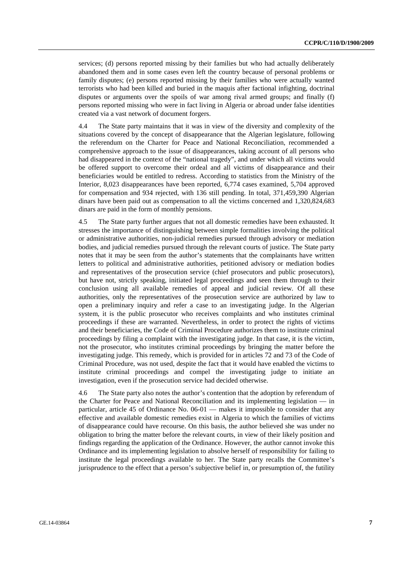services; (d) persons reported missing by their families but who had actually deliberately abandoned them and in some cases even left the country because of personal problems or family disputes; (e) persons reported missing by their families who were actually wanted terrorists who had been killed and buried in the maquis after factional infighting, doctrinal disputes or arguments over the spoils of war among rival armed groups; and finally (f) persons reported missing who were in fact living in Algeria or abroad under false identities created via a vast network of document forgers.

4.4 The State party maintains that it was in view of the diversity and complexity of the situations covered by the concept of disappearance that the Algerian legislature, following the referendum on the Charter for Peace and National Reconciliation, recommended a comprehensive approach to the issue of disappearances, taking account of all persons who had disappeared in the context of the "national tragedy", and under which all victims would be offered support to overcome their ordeal and all victims of disappearance and their beneficiaries would be entitled to redress. According to statistics from the Ministry of the Interior, 8,023 disappearances have been reported, 6,774 cases examined, 5,704 approved for compensation and 934 rejected, with 136 still pending. In total, 371,459,390 Algerian dinars have been paid out as compensation to all the victims concerned and 1,320,824,683 dinars are paid in the form of monthly pensions.

4.5 The State party further argues that not all domestic remedies have been exhausted. It stresses the importance of distinguishing between simple formalities involving the political or administrative authorities, non-judicial remedies pursued through advisory or mediation bodies, and judicial remedies pursued through the relevant courts of justice. The State party notes that it may be seen from the author's statements that the complainants have written letters to political and administrative authorities, petitioned advisory or mediation bodies and representatives of the prosecution service (chief prosecutors and public prosecutors), but have not, strictly speaking, initiated legal proceedings and seen them through to their conclusion using all available remedies of appeal and judicial review. Of all these authorities, only the representatives of the prosecution service are authorized by law to open a preliminary inquiry and refer a case to an investigating judge. In the Algerian system, it is the public prosecutor who receives complaints and who institutes criminal proceedings if these are warranted. Nevertheless, in order to protect the rights of victims and their beneficiaries, the Code of Criminal Procedure authorizes them to institute criminal proceedings by filing a complaint with the investigating judge. In that case, it is the victim, not the prosecutor, who institutes criminal proceedings by bringing the matter before the investigating judge. This remedy, which is provided for in articles 72 and 73 of the Code of Criminal Procedure, was not used, despite the fact that it would have enabled the victims to institute criminal proceedings and compel the investigating judge to initiate an investigation, even if the prosecution service had decided otherwise.

4.6 The State party also notes the author's contention that the adoption by referendum of the Charter for Peace and National Reconciliation and its implementing legislation — in particular, article 45 of Ordinance No. 06-01 — makes it impossible to consider that any effective and available domestic remedies exist in Algeria to which the families of victims of disappearance could have recourse. On this basis, the author believed she was under no obligation to bring the matter before the relevant courts, in view of their likely position and findings regarding the application of the Ordinance. However, the author cannot invoke this Ordinance and its implementing legislation to absolve herself of responsibility for failing to institute the legal proceedings available to her. The State party recalls the Committee's jurisprudence to the effect that a person's subjective belief in, or presumption of, the futility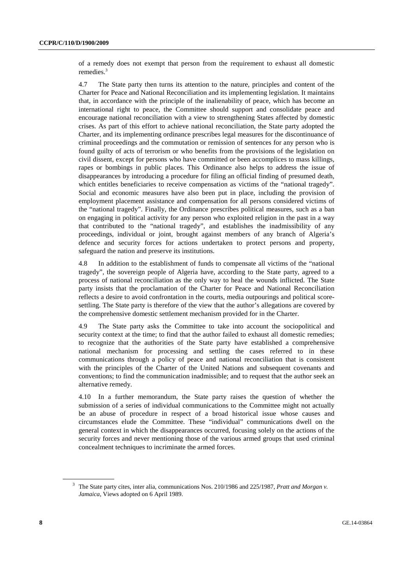of a remedy does not exempt that person from the requirement to exhaust all domestic remedies.<sup>3</sup>

4.7 The State party then turns its attention to the nature, principles and content of the Charter for Peace and National Reconciliation and its implementing legislation. It maintains that, in accordance with the principle of the inalienability of peace, which has become an international right to peace, the Committee should support and consolidate peace and encourage national reconciliation with a view to strengthening States affected by domestic crises. As part of this effort to achieve national reconciliation, the State party adopted the Charter, and its implementing ordinance prescribes legal measures for the discontinuance of criminal proceedings and the commutation or remission of sentences for any person who is found guilty of acts of terrorism or who benefits from the provisions of the legislation on civil dissent, except for persons who have committed or been accomplices to mass killings, rapes or bombings in public places. This Ordinance also helps to address the issue of disappearances by introducing a procedure for filing an official finding of presumed death, which entitles beneficiaries to receive compensation as victims of the "national tragedy". Social and economic measures have also been put in place, including the provision of employment placement assistance and compensation for all persons considered victims of the "national tragedy". Finally, the Ordinance prescribes political measures, such as a ban on engaging in political activity for any person who exploited religion in the past in a way that contributed to the "national tragedy", and establishes the inadmissibility of any proceedings, individual or joint, brought against members of any branch of Algeria's defence and security forces for actions undertaken to protect persons and property, safeguard the nation and preserve its institutions.

4.8 In addition to the establishment of funds to compensate all victims of the "national tragedy", the sovereign people of Algeria have, according to the State party, agreed to a process of national reconciliation as the only way to heal the wounds inflicted. The State party insists that the proclamation of the Charter for Peace and National Reconciliation reflects a desire to avoid confrontation in the courts, media outpourings and political scoresettling. The State party is therefore of the view that the author's allegations are covered by the comprehensive domestic settlement mechanism provided for in the Charter.

4.9 The State party asks the Committee to take into account the sociopolitical and security context at the time; to find that the author failed to exhaust all domestic remedies; to recognize that the authorities of the State party have established a comprehensive national mechanism for processing and settling the cases referred to in these communications through a policy of peace and national reconciliation that is consistent with the principles of the Charter of the United Nations and subsequent covenants and conventions; to find the communication inadmissible; and to request that the author seek an alternative remedy.

4.10 In a further memorandum, the State party raises the question of whether the submission of a series of individual communications to the Committee might not actually be an abuse of procedure in respect of a broad historical issue whose causes and circumstances elude the Committee. These "individual" communications dwell on the general context in which the disappearances occurred, focusing solely on the actions of the security forces and never mentioning those of the various armed groups that used criminal concealment techniques to incriminate the armed forces.

<sup>3</sup> The State party cites, inter alia, communications Nos. 210/1986 and 225/1987, *Pratt and Morgan v. Jamaica*, Views adopted on 6 April 1989.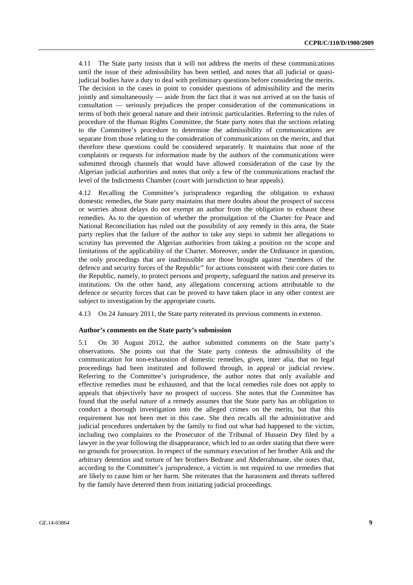4.11 The State party insists that it will not address the merits of these communications until the issue of their admissibility has been settled, and notes that all judicial or quasijudicial bodies have a duty to deal with preliminary questions before considering the merits. The decision in the cases in point to consider questions of admissibility and the merits jointly and simultaneously — aside from the fact that it was not arrived at on the basis of consultation — seriously prejudices the proper consideration of the communications in terms of both their general nature and their intrinsic particularities. Referring to the rules of procedure of the Human Rights Committee, the State party notes that the sections relating to the Committee's procedure to determine the admissibility of communications are separate from those relating to the consideration of communications on the merits, and that therefore these questions could be considered separately. It maintains that none of the complaints or requests for information made by the authors of the communications were submitted through channels that would have allowed consideration of the case by the Algerian judicial authorities and notes that only a few of the communications reached the level of the Indictments Chamber (court with jurisdiction to hear appeals).

4.12 Recalling the Committee's jurisprudence regarding the obligation to exhaust domestic remedies, the State party maintains that mere doubts about the prospect of success or worries about delays do not exempt an author from the obligation to exhaust these remedies. As to the question of whether the promulgation of the Charter for Peace and National Reconciliation has ruled out the possibility of any remedy in this area, the State party replies that the failure of the author to take any steps to submit her allegations to scrutiny has prevented the Algerian authorities from taking a position on the scope and limitations of the applicability of the Charter. Moreover, under the Ordinance in question, the only proceedings that are inadmissible are those brought against "members of the defence and security forces of the Republic" for actions consistent with their core duties to the Republic, namely, to protect persons and property, safeguard the nation and preserve its institutions. On the other hand, any allegations concerning actions attributable to the defence or security forces that can be proved to have taken place in any other context are subject to investigation by the appropriate courts.

4.13 On 24 January 2011, the State party reiterated its previous comments in extenso.

#### **Author's comments on the State party's submission**

5.1 On 30 August 2012, the author submitted comments on the State party's observations. She points out that the State party contests the admissibility of the communication for non-exhaustion of domestic remedies, given, inter alia, that no legal proceedings had been instituted and followed through, in appeal or judicial review. Referring to the Committee's jurisprudence, the author notes that only available and effective remedies must be exhausted, and that the local remedies rule does not apply to appeals that objectively have no prospect of success. She notes that the Committee has found that the useful nature of a remedy assumes that the State party has an obligation to conduct a thorough investigation into the alleged crimes on the merits, but that this requirement has not been met in this case. She then recalls all the administrative and judicial procedures undertaken by the family to find out what had happened to the victim, including two complaints to the Prosecutor of the Tribunal of Hussein Dey filed by a lawyer in the year following the disappearance, which led to an order stating that there were no grounds for prosecution. In respect of the summary execution of her brother Atik and the arbitrary detention and torture of her brothers Bedrane and Abderrahmane, she notes that, according to the Committee's jurisprudence, a victim is not required to use remedies that are likely to cause him or her harm. She reiterates that the harassment and threats suffered by the family have deterred them from initiating judicial proceedings.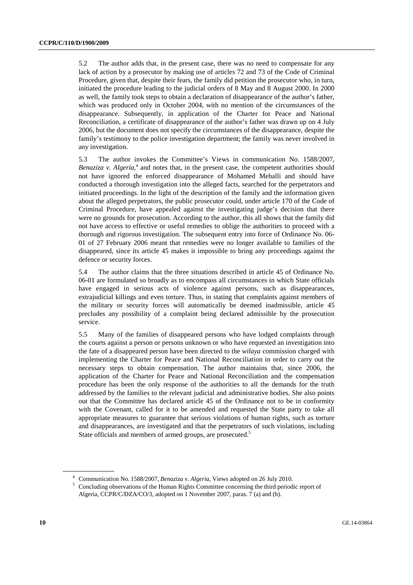5.2 The author adds that, in the present case, there was no need to compensate for any lack of action by a prosecutor by making use of articles 72 and 73 of the Code of Criminal Procedure, given that, despite their fears, the family did petition the prosecutor who, in turn, initiated the procedure leading to the judicial orders of 8 May and 8 August 2000. In 2000 as well, the family took steps to obtain a declaration of disappearance of the author's father, which was produced only in October 2004, with no mention of the circumstances of the disappearance. Subsequently, in application of the Charter for Peace and National Reconciliation, a certificate of disappearance of the author's father was drawn up on 4 July 2006, but the document does not specify the circumstances of the disappearance, despite the family's testimony to the police investigation department; the family was never involved in any investigation.

5.3 The author invokes the Committee's Views in communication No. 1588/2007, Benaziza v. Algeria,<sup>4</sup> and notes that, in the present case, the competent authorities should not have ignored the enforced disappearance of Mohamed Mehalli and should have conducted a thorough investigation into the alleged facts, searched for the perpetrators and initiated proceedings. In the light of the description of the family and the information given about the alleged perpetrators, the public prosecutor could, under article 170 of the Code of Criminal Procedure, have appealed against the investigating judge's decision that there were no grounds for prosecution. According to the author, this all shows that the family did not have access to effective or useful remedies to oblige the authorities to proceed with a thorough and rigorous investigation. The subsequent entry into force of Ordinance No. 06- 01 of 27 February 2006 meant that remedies were no longer available to families of the disappeared, since its article 45 makes it impossible to bring any proceedings against the defence or security forces.

5.4 The author claims that the three situations described in article 45 of Ordinance No. 06-01 are formulated so broadly as to encompass all circumstances in which State officials have engaged in serious acts of violence against persons, such as disappearances, extrajudicial killings and even torture. Thus, in stating that complaints against members of the military or security forces will automatically be deemed inadmissible, article 45 precludes any possibility of a complaint being declared admissible by the prosecution service.

5.5 Many of the families of disappeared persons who have lodged complaints through the courts against a person or persons unknown or who have requested an investigation into the fate of a disappeared person have been directed to the *wilaya* commission charged with implementing the Charter for Peace and National Reconciliation in order to carry out the necessary steps to obtain compensation. The author maintains that, since 2006, the application of the Charter for Peace and National Reconciliation and the compensation procedure has been the only response of the authorities to all the demands for the truth addressed by the families to the relevant judicial and administrative bodies. She also points out that the Committee has declared article 45 of the Ordinance not to be in conformity with the Covenant, called for it to be amended and requested the State party to take all appropriate measures to guarantee that serious violations of human rights, such as torture and disappearances, are investigated and that the perpetrators of such violations, including State officials and members of armed groups, are prosecuted.<sup>5</sup>

<sup>&</sup>lt;sup>4</sup> Communication No. 1588/2007, *Benaziza v. Algeria*, Views adopted on 26 July 2010.

Concluding observations of the Human Rights Committee concerning the third periodic report of Algeria, CCPR/C/DZA/CO/3, adopted on 1 November 2007, paras. 7 (a) and (b).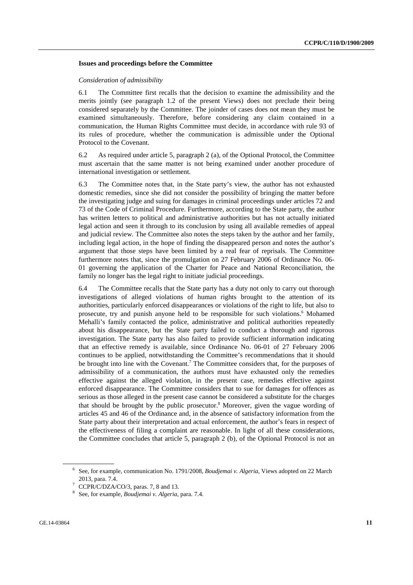#### **Issues and proceedings before the Committee**

#### *Consideration of admissibility*

6.1 The Committee first recalls that the decision to examine the admissibility and the merits jointly (see paragraph 1.2 of the present Views) does not preclude their being considered separately by the Committee. The joinder of cases does not mean they must be examined simultaneously. Therefore, before considering any claim contained in a communication, the Human Rights Committee must decide, in accordance with rule 93 of its rules of procedure, whether the communication is admissible under the Optional Protocol to the Covenant.

6.2 As required under article 5, paragraph 2 (a), of the Optional Protocol, the Committee must ascertain that the same matter is not being examined under another procedure of international investigation or settlement.

6.3 The Committee notes that, in the State party's view, the author has not exhausted domestic remedies, since she did not consider the possibility of bringing the matter before the investigating judge and suing for damages in criminal proceedings under articles 72 and 73 of the Code of Criminal Procedure. Furthermore, according to the State party, the author has written letters to political and administrative authorities but has not actually initiated legal action and seen it through to its conclusion by using all available remedies of appeal and judicial review. The Committee also notes the steps taken by the author and her family, including legal action, in the hope of finding the disappeared person and notes the author's argument that those steps have been limited by a real fear of reprisals. The Committee furthermore notes that, since the promulgation on 27 February 2006 of Ordinance No. 06- 01 governing the application of the Charter for Peace and National Reconciliation, the family no longer has the legal right to initiate judicial proceedings.

6.4 The Committee recalls that the State party has a duty not only to carry out thorough investigations of alleged violations of human rights brought to the attention of its authorities, particularly enforced disappearances or violations of the right to life, but also to prosecute, try and punish anyone held to be responsible for such violations.<sup>6</sup> Mohamed Mehalli's family contacted the police, administrative and political authorities repeatedly about his disappearance, but the State party failed to conduct a thorough and rigorous investigation. The State party has also failed to provide sufficient information indicating that an effective remedy is available, since Ordinance No. 06-01 of 27 February 2006 continues to be applied, notwithstanding the Committee's recommendations that it should be brought into line with the Covenant.<sup>7</sup> The Committee considers that, for the purposes of admissibility of a communication, the authors must have exhausted only the remedies effective against the alleged violation, in the present case, remedies effective against enforced disappearance. The Committee considers that to sue for damages for offences as serious as those alleged in the present case cannot be considered a substitute for the charges that should be brought by the public prosecutor.<sup>8</sup> Moreover, given the vague wording of articles 45 and 46 of the Ordinance and, in the absence of satisfactory information from the State party about their interpretation and actual enforcement, the author's fears in respect of the effectiveness of filing a complaint are reasonable. In light of all these considerations, the Committee concludes that article 5, paragraph 2 (b), of the Optional Protocol is not an

<sup>6</sup> See, for example, communication No. 1791/2008, *Boudjemai v. Algeria*, Views adopted on 22 March 2013, para. 7.4.<br><sup>7</sup> CCPR/C/DZA/CO/3, paras. 7, 8 and 13.

<sup>8</sup> See, for example, *Boudjemai v. Algeria*, para. 7.4.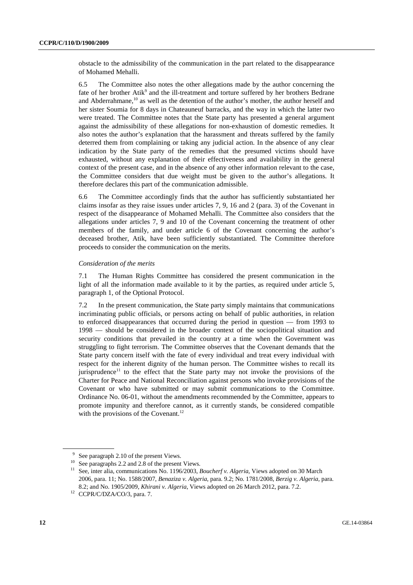obstacle to the admissibility of the communication in the part related to the disappearance of Mohamed Mehalli.

6.5 The Committee also notes the other allegations made by the author concerning the fate of her brother Atik<sup>9</sup> and the ill-treatment and torture suffered by her brothers Bedrane and Abderrahmane,<sup>10</sup> as well as the detention of the author's mother, the author herself and her sister Soumia for 8 days in Chateauneuf barracks, and the way in which the latter two were treated. The Committee notes that the State party has presented a general argument against the admissibility of these allegations for non-exhaustion of domestic remedies. It also notes the author's explanation that the harassment and threats suffered by the family deterred them from complaining or taking any judicial action. In the absence of any clear indication by the State party of the remedies that the presumed victims should have exhausted, without any explanation of their effectiveness and availability in the general context of the present case, and in the absence of any other information relevant to the case, the Committee considers that due weight must be given to the author's allegations. It therefore declares this part of the communication admissible.

6.6 The Committee accordingly finds that the author has sufficiently substantiated her claims insofar as they raise issues under articles 7, 9, 16 and 2 (para. 3) of the Covenant in respect of the disappearance of Mohamed Mehalli. The Committee also considers that the allegations under articles 7, 9 and 10 of the Covenant concerning the treatment of other members of the family, and under article 6 of the Covenant concerning the author's deceased brother, Atik, have been sufficiently substantiated. The Committee therefore proceeds to consider the communication on the merits.

#### *Consideration of the merits*

7.1 The Human Rights Committee has considered the present communication in the light of all the information made available to it by the parties, as required under article 5, paragraph 1, of the Optional Protocol.

7.2 In the present communication, the State party simply maintains that communications incriminating public officials, or persons acting on behalf of public authorities, in relation to enforced disappearances that occurred during the period in question — from 1993 to 1998 — should be considered in the broader context of the sociopolitical situation and security conditions that prevailed in the country at a time when the Government was struggling to fight terrorism. The Committee observes that the Covenant demands that the State party concern itself with the fate of every individual and treat every individual with respect for the inherent dignity of the human person. The Committee wishes to recall its jurisprudence<sup>11</sup> to the effect that the State party may not invoke the provisions of the Charter for Peace and National Reconciliation against persons who invoke provisions of the Covenant or who have submitted or may submit communications to the Committee. Ordinance No. 06-01, without the amendments recommended by the Committee, appears to promote impunity and therefore cannot, as it currently stands, be considered compatible with the provisions of the Covenant.<sup>12</sup>

 $9^9$  See paragraph 2.10 of the present Views.

<sup>10</sup> See paragraphs 2.2 and 2.8 of the present Views.

<sup>&</sup>lt;sup>11</sup> See, inter alia, communications No. 1196/2003, *Boucherf v. Algeria*, Views adopted on 30 March 2006, para. 11; No. 1588/2007, *Benaziza v. Algeria*, para. 9.2; No. 1781/2008, *Berzig v. Algeria*, para. 8.2; and No. 1905/2009, *Khirani v. Algeria*, Views adopted on 26 March 2012, para. 7.2. 12 CCPR/C/DZA/CO/3, para. 7.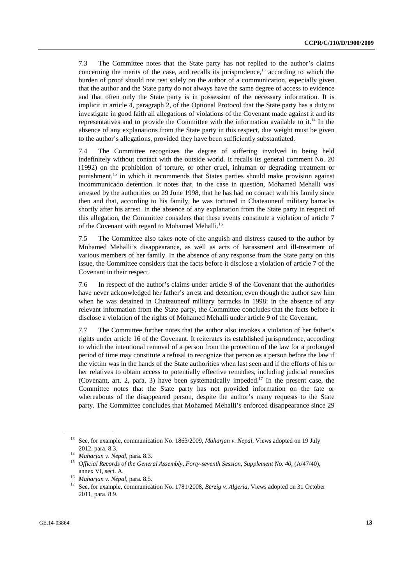7.3 The Committee notes that the State party has not replied to the author's claims concerning the merits of the case, and recalls its jurisprudence, $13$  according to which the burden of proof should not rest solely on the author of a communication, especially given that the author and the State party do not always have the same degree of access to evidence and that often only the State party is in possession of the necessary information. It is implicit in article 4, paragraph 2, of the Optional Protocol that the State party has a duty to investigate in good faith all allegations of violations of the Covenant made against it and its representatives and to provide the Committee with the information available to it.<sup>14</sup> In the absence of any explanations from the State party in this respect, due weight must be given to the author's allegations, provided they have been sufficiently substantiated.

7.4 The Committee recognizes the degree of suffering involved in being held indefinitely without contact with the outside world. It recalls its general comment No. 20 (1992) on the prohibition of torture, or other cruel, inhuman or degrading treatment or punishment,<sup>15</sup> in which it recommends that States parties should make provision against incommunicado detention. It notes that, in the case in question, Mohamed Mehalli was arrested by the authorities on 29 June 1998, that he has had no contact with his family since then and that, according to his family, he was tortured in Chateauneuf military barracks shortly after his arrest. In the absence of any explanation from the State party in respect of this allegation, the Committee considers that these events constitute a violation of article 7 of the Covenant with regard to Mohamed Mehalli.<sup>16</sup>

7.5 The Committee also takes note of the anguish and distress caused to the author by Mohamed Mehalli's disappearance, as well as acts of harassment and ill-treatment of various members of her family. In the absence of any response from the State party on this issue, the Committee considers that the facts before it disclose a violation of article 7 of the Covenant in their respect.

7.6 In respect of the author's claims under article 9 of the Covenant that the authorities have never acknowledged her father's arrest and detention, even though the author saw him when he was detained in Chateauneuf military barracks in 1998: in the absence of any relevant information from the State party, the Committee concludes that the facts before it disclose a violation of the rights of Mohamed Mehalli under article 9 of the Covenant.

7.7 The Committee further notes that the author also invokes a violation of her father's rights under article 16 of the Covenant. It reiterates its established jurisprudence, according to which the intentional removal of a person from the protection of the law for a prolonged period of time may constitute a refusal to recognize that person as a person before the law if the victim was in the hands of the State authorities when last seen and if the efforts of his or her relatives to obtain access to potentially effective remedies, including judicial remedies (Covenant, art. 2, para. 3) have been systematically impeded.<sup>17</sup> In the present case, the Committee notes that the State party has not provided information on the fate or whereabouts of the disappeared person, despite the author's many requests to the State party. The Committee concludes that Mohamed Mehalli's enforced disappearance since 29

<sup>13</sup> See, for example, communication No. 1863/2009, *Maharjan v*. *Nepal*, Views adopted on 19 July

<sup>2012,</sup> para. 8.3. 14 *Maharjan v*. *Nepal*, para. 8.3. 15 *Official Records of the General Assembly, Forty-seventh Session, Supplement No. 40*, (A/47/40),

annex VI, sect. A. <sup>16</sup> *Maharjan v. Népal*, para. 8.5.<br><sup>17</sup> See, for example, communication No. 1781/2008, *Berzig v. Algeria*, Views adopted on 31 October 2011, para. 8.9.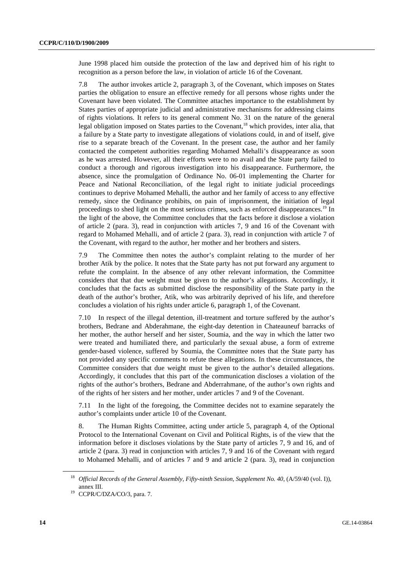June 1998 placed him outside the protection of the law and deprived him of his right to recognition as a person before the law, in violation of article 16 of the Covenant.

7.8 The author invokes article 2, paragraph 3, of the Covenant, which imposes on States parties the obligation to ensure an effective remedy for all persons whose rights under the Covenant have been violated. The Committee attaches importance to the establishment by States parties of appropriate judicial and administrative mechanisms for addressing claims of rights violations. It refers to its general comment No. 31 on the nature of the general legal obligation imposed on States parties to the Covenant,<sup>18</sup> which provides, inter alia, that a failure by a State party to investigate allegations of violations could, in and of itself, give rise to a separate breach of the Covenant. In the present case, the author and her family contacted the competent authorities regarding Mohamed Mehalli's disappearance as soon as he was arrested. However, all their efforts were to no avail and the State party failed to conduct a thorough and rigorous investigation into his disappearance. Furthermore, the absence, since the promulgation of Ordinance No. 06-01 implementing the Charter for Peace and National Reconciliation, of the legal right to initiate judicial proceedings continues to deprive Mohamed Mehalli, the author and her family of access to any effective remedy, since the Ordinance prohibits, on pain of imprisonment, the initiation of legal proceedings to shed light on the most serious crimes, such as enforced disappearances.<sup>19</sup> In the light of the above, the Committee concludes that the facts before it disclose a violation of article 2 (para. 3), read in conjunction with articles 7, 9 and 16 of the Covenant with regard to Mohamed Mehalli, and of article 2 (para. 3), read in conjunction with article 7 of the Covenant, with regard to the author, her mother and her brothers and sisters.

7.9 The Committee then notes the author's complaint relating to the murder of her brother Atik by the police. It notes that the State party has not put forward any argument to refute the complaint. In the absence of any other relevant information, the Committee considers that that due weight must be given to the author's allegations. Accordingly, it concludes that the facts as submitted disclose the responsibility of the State party in the death of the author's brother, Atik, who was arbitrarily deprived of his life, and therefore concludes a violation of his rights under article 6, paragraph 1, of the Covenant.

7.10 In respect of the illegal detention, ill-treatment and torture suffered by the author's brothers, Bedrane and Abderahmane, the eight-day detention in Chateauneuf barracks of her mother, the author herself and her sister, Soumia, and the way in which the latter two were treated and humiliated there, and particularly the sexual abuse, a form of extreme gender-based violence, suffered by Soumia, the Committee notes that the State party has not provided any specific comments to refute these allegations. In these circumstances, the Committee considers that due weight must be given to the author's detailed allegations. Accordingly, it concludes that this part of the communication discloses a violation of the rights of the author's brothers, Bedrane and Abderrahmane, of the author's own rights and of the rights of her sisters and her mother, under articles 7 and 9 of the Covenant.

7.11 In the light of the foregoing, the Committee decides not to examine separately the author's complaints under article 10 of the Covenant.

8. The Human Rights Committee, acting under article 5, paragraph 4, of the Optional Protocol to the International Covenant on Civil and Political Rights, is of the view that the information before it discloses violations by the State party of articles 7, 9 and 16, and of article 2 (para. 3) read in conjunction with articles 7, 9 and 16 of the Covenant with regard to Mohamed Mehalli, and of articles 7 and 9 and article 2 (para. 3), read in conjunction

<sup>18</sup> *Official Records of the General Assembly, Fifty-ninth Session, Supplement No. 40*, (A/59/40 (vol. I)),

annex III.<br><sup>19</sup> CCPR/C/DZA/CO/3, para. 7.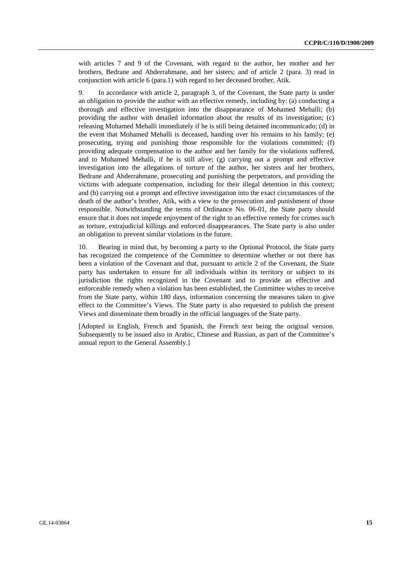with articles 7 and 9 of the Covenant, with regard to the author, her mother and her brothers, Bedrane and Abderrahmane, and her sisters; and of article 2 (para. 3) read in conjunction with article 6 (para.1) with regard to her deceased brother, Atik.

9. In accordance with article 2, paragraph 3, of the Covenant, the State party is under an obligation to provide the author with an effective remedy, including by: (a) conducting a thorough and effective investigation into the disappearance of Mohamed Mehalli; (b) providing the author with detailed information about the results of its investigation; (c) releasing Mohamed Mehalli immediately if he is still being detained incommunicado; (d) in the event that Mohamed Mehalli is deceased, handing over his remains to his family; (e) prosecuting, trying and punishing those responsible for the violations committed; (f) providing adequate compensation to the author and her family for the violations suffered, and to Mohamed Mehalli, if he is still alive; (g) carrying out a prompt and effective investigation into the allegations of torture of the author, her sisters and her brothers, Bedrane and Abderrahmane, prosecuting and punishing the perpetrators, and providing the victims with adequate compensation, including for their illegal detention in this context; and (h) carrying out a prompt and effective investigation into the exact circumstances of the death of the author's brother, Atik, with a view to the prosecution and punishment of those responsible. Notwithstanding the terms of Ordinance No. 06-01, the State party should ensure that it does not impede enjoyment of the right to an effective remedy for crimes such as torture, extrajudicial killings and enforced disappearances. The State party is also under an obligation to prevent similar violations in the future.

10. Bearing in mind that, by becoming a party to the Optional Protocol, the State party has recognized the competence of the Committee to determine whether or not there has been a violation of the Covenant and that, pursuant to article 2 of the Covenant, the State party has undertaken to ensure for all individuals within its territory or subject to its jurisdiction the rights recognized in the Covenant and to provide an effective and enforceable remedy when a violation has been established, the Committee wishes to receive from the State party, within 180 days, information concerning the measures taken to give effect to the Committee's Views. The State party is also requested to publish the present Views and disseminate them broadly in the official languages of the State party.

[Adopted in English, French and Spanish, the French text being the original version. Subsequently to be issued also in Arabic, Chinese and Russian, as part of the Committee's annual report to the General Assembly.]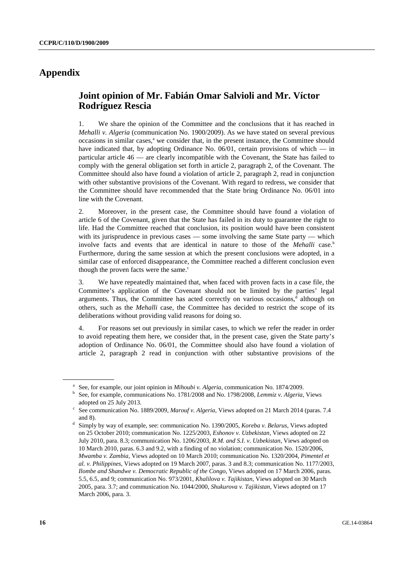## **Appendix**

## **Joint opinion of Mr. Fabián Omar Salvioli and Mr. Víctor Rodríguez Rescia**

1. We share the opinion of the Committee and the conclusions that it has reached in *Mehalli v. Algeria* (communication No. 1900/2009). As we have stated on several previous occasions in similar cases,<sup>a</sup> we consider that, in the present instance, the Committee should have indicated that, by adopting Ordinance No. 06/01, certain provisions of which — in particular article 46 — are clearly incompatible with the Covenant, the State has failed to comply with the general obligation set forth in article 2, paragraph 2, of the Covenant. The Committee should also have found a violation of article 2, paragraph 2, read in conjunction with other substantive provisions of the Covenant. With regard to redress, we consider that the Committee should have recommended that the State bring Ordinance No. 06/01 into line with the Covenant.

2. Moreover, in the present case, the Committee should have found a violation of article 6 of the Covenant, given that the State has failed in its duty to guarantee the right to life. Had the Committee reached that conclusion, its position would have been consistent with its jurisprudence in previous cases — some involving the same State party — which involve facts and events that are identical in nature to those of the *Mehalli* case.<sup>b</sup> Furthermore, during the same session at which the present conclusions were adopted, in a similar case of enforced disappearance, the Committee reached a different conclusion even though the proven facts were the same.<sup>c</sup>

3. We have repeatedly maintained that, when faced with proven facts in a case file, the Committee's application of the Covenant should not be limited by the parties' legal arguments. Thus, the Committee has acted correctly on various occasions,<sup>d</sup> although on others, such as the *Mehalli* case, the Committee has decided to restrict the scope of its deliberations without providing valid reasons for doing so.

4. For reasons set out previously in similar cases, to which we refer the reader in order to avoid repeating them here, we consider that, in the present case, given the State party's adoption of Ordinance No. 06/01, the Committee should also have found a violation of article 2, paragraph 2 read in conjunction with other substantive provisions of the

<sup>&</sup>lt;sup>a</sup> See, for example, our joint opinion in *Mihoubi v. Algeria*, communication No. 1874/2009.

<sup>&</sup>lt;sup>b</sup> See, for example, communications No. 1781/2008 and No. 1798/2008, *Lemmiz v. Algeria*, Views adopted on 25 July 2013.<br>See communication No. 1889/2009, *Marouf v. Algeria*, Views adopted on 21 March 2014 (paras. 7.4

and 8). d Simply by way of example, see: communication No. 1390/2005, *Koreba v. Belarus*, Views adopted on 25 October 2010; communication No. 1225/2003, *Eshonov v. Uzbekistan*, Views adopted on 22 July 2010, para. 8.3; communication No. 1206/2003, *R.M. and S.I. v. Uzbekistan*, Views adopted on 10 March 2010, paras. 6.3 and 9.2, with a finding of no violation; communication No. 1520/2006, *Mwamba v. Zambia*, Views adopted on 10 March 2010; communication No. 1320/2004, *Pimentel et al. v. Philippines*, Views adopted on 19 March 2007, paras. 3 and 8.3; communication No. 1177/2003, *Ilombe and Shandwe v. Democratic Republic of the Congo*, Views adopted on 17 March 2006, paras. 5.5, 6.5, and 9; communication No. 973/2001, *Khalilova v. Tajikistan*, Views adopted on 30 March 2005, para. 3.7; and communication No. 1044/2000, *Shukurova v. Tajikistan*, Views adopted on 17 March 2006, para. 3.